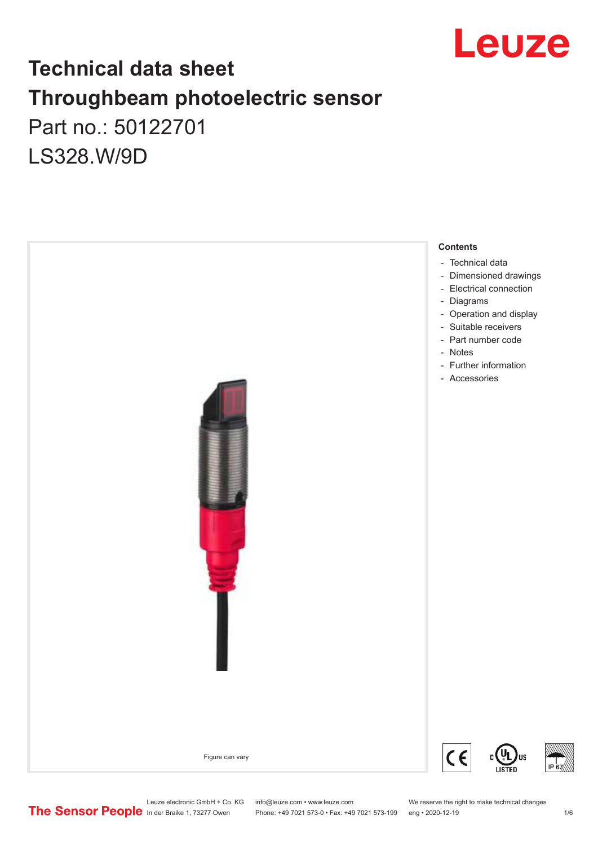

# **Technical data sheet Throughbeam photoelectric sensor**  Part no.: 50122701 LS328.W/9D

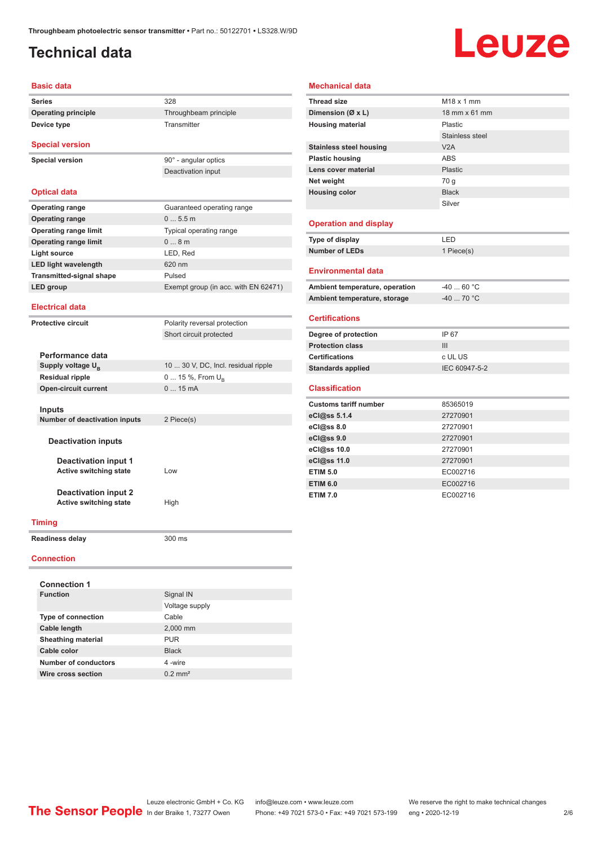# <span id="page-1-0"></span>**Technical data**

**Device type** Transmitter

# Leuze

#### **Basic data**

**Series** 328 **Operating principle** Throughbeam principle

**Special version**

**Special version** 90° - angular optics

| <b>Optical data</b>             |                                      |
|---------------------------------|--------------------------------------|
| <b>Operating range</b>          | Guaranteed operating range           |
| <b>Operating range</b>          | 05.5m                                |
| <b>Operating range limit</b>    | Typical operating range              |
| <b>Operating range limit</b>    | 0.8m                                 |
| Light source                    | LED, Red                             |
| <b>LED light wavelength</b>     | 620 nm                               |
| <b>Transmitted-signal shape</b> | Pulsed                               |
| LED group                       | Exempt group (in acc. with EN 62471) |
|                                 |                                      |

Deactivation input

Short circuit protected

#### **Electrical data**

**Protective circuit** Polarity reversal protection

| Performance data                     |                                     |
|--------------------------------------|-------------------------------------|
| Supply voltage $U_{B}$               | 10  30 V, DC, Incl. residual ripple |
| <b>Residual ripple</b>               | 0  15 %, From $U_{\rm B}$           |
| <b>Open-circuit current</b>          | 015mA                               |
|                                      |                                     |
| Inputs                               |                                     |
| <b>Number of deactivation inputs</b> | 2 Piece(s)                          |
|                                      |                                     |
| <b>Deactivation inputs</b>           |                                     |
| <b>Deactivation input 1</b>          |                                     |
| <b>Active switching state</b>        | l ow                                |
|                                      |                                     |
| <b>Deactivation input 2</b>          |                                     |
| Active switching state               | High                                |
| Timina                               |                                     |
|                                      |                                     |

#### **Readiness delay** 300 ms

#### **Connection**

| <b>Connection 1</b>       |                       |  |  |  |  |
|---------------------------|-----------------------|--|--|--|--|
| <b>Function</b>           | Signal IN             |  |  |  |  |
|                           | Voltage supply        |  |  |  |  |
| <b>Type of connection</b> | Cable                 |  |  |  |  |
| Cable length              | 2,000 mm              |  |  |  |  |
| <b>Sheathing material</b> | <b>PUR</b>            |  |  |  |  |
| Cable color               | <b>Black</b>          |  |  |  |  |
| Number of conductors      | 4-wire                |  |  |  |  |
| Wire cross section        | $0.2$ mm <sup>2</sup> |  |  |  |  |

#### **Mechanical data**

| <b>Thread size</b>             | $M18 \times 1$ mm |
|--------------------------------|-------------------|
| Dimension ( $\emptyset$ x L)   | 18 mm x 61 mm     |
| <b>Housing material</b>        | Plastic           |
|                                | Stainless steel   |
| <b>Stainless steel housing</b> | V2A               |
| <b>Plastic housing</b>         | <b>ABS</b>        |
| Lens cover material            | Plastic           |
| Net weight                     | 70 g              |
| <b>Housing color</b>           | <b>Black</b>      |
|                                | Silver            |
|                                |                   |
| <b>Operation and display</b>   |                   |
| Type of display                | LED               |
| <b>Number of LEDs</b>          | 1 Piece(s)        |
|                                |                   |
| <b>Environmental data</b>      |                   |
| Ambient temperature, operation | $-4060 °C$        |
| Ambient temperature, storage   | $-40$ 70 °C       |
|                                |                   |
| <b>Certifications</b>          |                   |
| Degree of protection           | IP 67             |
| <b>Protection class</b>        | III               |
| <b>Certifications</b>          | c UL US           |
| <b>Standards applied</b>       | IEC 60947-5-2     |
| <b>Classification</b>          |                   |
|                                |                   |
| <b>Customs tariff number</b>   | 85365019          |
| eCl@ss 5.1.4                   | 27270901          |
| eC <sub>1</sub> @ss8.0         | 27270901          |
| eCl@ss 9.0                     |                   |
|                                | 27270901          |
| eCl@ss 10.0                    | 27270901          |
| eCl@ss 11.0                    | 27270901          |
| <b>ETIM 5.0</b>                | EC002716          |
| <b>ETIM 6.0</b>                | EC002716          |

Leuze electronic GmbH + Co. KG info@leuze.com • www.leuze.com We reserve the right to make technical changes<br>
The Sensor People in der Braike 1, 73277 Owen Phone: +49 7021 573-0 • Fax: +49 7021 573-199 eng • 2020-12-19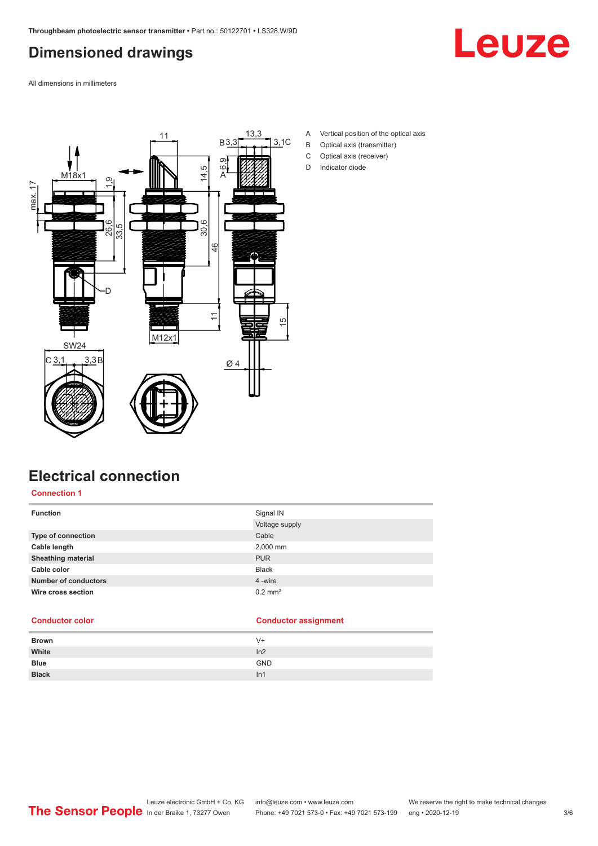# <span id="page-2-0"></span>**Dimensioned drawings**



All dimensions in millimeters



- A Vertical position of the optical axis
- B Optical axis (transmitter)
- C Optical axis (receiver)
- D Indicator diode

# **Electrical connection**

**Connection 1**

| <b>Function</b>             | Signal IN             |
|-----------------------------|-----------------------|
|                             | Voltage supply        |
| Type of connection          | Cable                 |
| Cable length                | 2,000 mm              |
| <b>Sheathing material</b>   | <b>PUR</b>            |
| Cable color                 | <b>Black</b>          |
| <b>Number of conductors</b> | 4 -wire               |
| Wire cross section          | $0.2$ mm <sup>2</sup> |

#### **Conductor color Conductor assignment**

| <b>Brown</b> | $V +$      |
|--------------|------------|
| White        | ln2        |
| <b>Blue</b>  | <b>GND</b> |
| <b>Black</b> | In1        |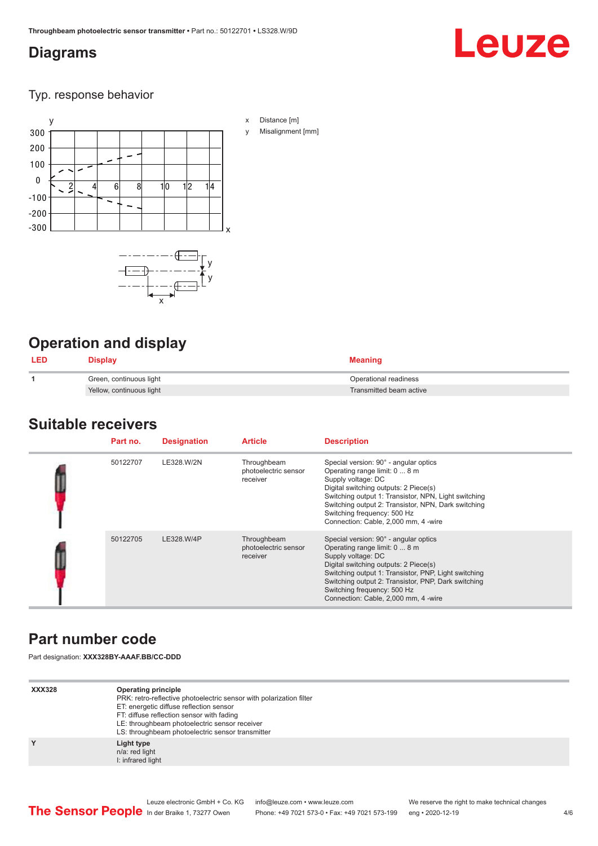# <span id="page-3-0"></span>**Diagrams**

# Leuze

### Typ. response behavior



# **Operation and display**

| <b>LED</b> | Display                  | Meaning                 |
|------------|--------------------------|-------------------------|
|            | Green, continuous light  | Operational readiness   |
|            | Yellow, continuous light | Transmitted beam active |

# **Suitable receivers**

| Part no. | <b>Designation</b> | <b>Article</b>                                  | <b>Description</b>                                                                                                                                                                                                                                                                                                          |
|----------|--------------------|-------------------------------------------------|-----------------------------------------------------------------------------------------------------------------------------------------------------------------------------------------------------------------------------------------------------------------------------------------------------------------------------|
| 50122707 | LE328.W/2N         | Throughbeam<br>photoelectric sensor<br>receiver | Special version: 90° - angular optics<br>Operating range limit: 0  8 m<br>Supply voltage: DC<br>Digital switching outputs: 2 Piece(s)<br>Switching output 1: Transistor, NPN, Light switching<br>Switching output 2: Transistor, NPN, Dark switching<br>Switching frequency: 500 Hz<br>Connection: Cable, 2,000 mm, 4 -wire |
| 50122705 | LE328.W/4P         | Throughbeam<br>photoelectric sensor<br>receiver | Special version: 90° - angular optics<br>Operating range limit: 0  8 m<br>Supply voltage: DC<br>Digital switching outputs: 2 Piece(s)<br>Switching output 1: Transistor, PNP, Light switching<br>Switching output 2: Transistor, PNP, Dark switching<br>Switching frequency: 500 Hz<br>Connection: Cable, 2,000 mm, 4 -wire |

# **Part number code**

Part designation: **XXX328BY-AAAF.BB/CC-DDD**

| <b>Operating principle</b><br>PRK: retro-reflective photoelectric sensor with polarization filter<br>ET: energetic diffuse reflection sensor<br>FT: diffuse reflection sensor with fading<br>LE: throughbeam photoelectric sensor receiver<br>LS: throughbeam photoelectric sensor transmitter |
|------------------------------------------------------------------------------------------------------------------------------------------------------------------------------------------------------------------------------------------------------------------------------------------------|
| Light type<br>n/a: red light<br>I: infrared light                                                                                                                                                                                                                                              |
|                                                                                                                                                                                                                                                                                                |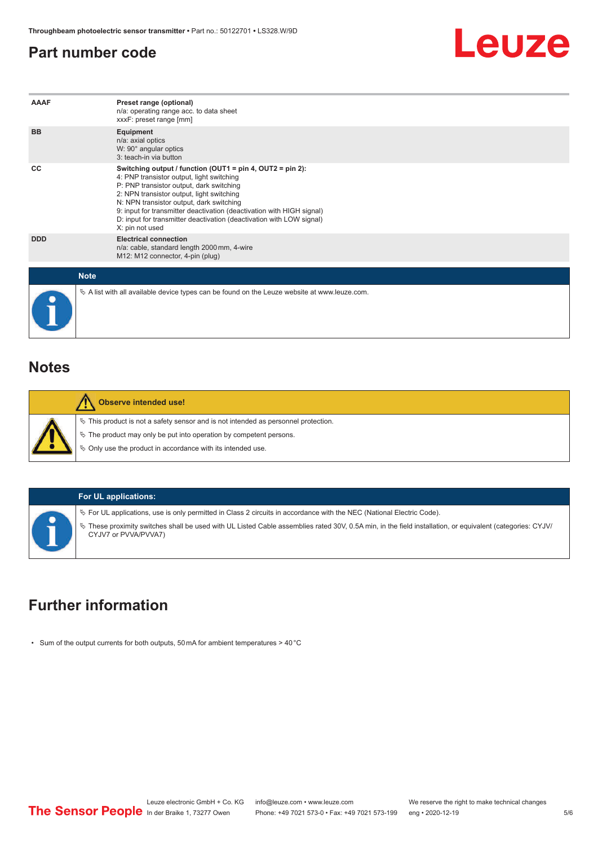## <span id="page-4-0"></span>**Part number code**



| AAAF        | Preset range (optional)<br>n/a: operating range acc. to data sheet<br>xxxF: preset range [mm]                                                                                                                                                                                                                                                                                                                         |
|-------------|-----------------------------------------------------------------------------------------------------------------------------------------------------------------------------------------------------------------------------------------------------------------------------------------------------------------------------------------------------------------------------------------------------------------------|
| <b>BB</b>   | Equipment<br>n/a: axial optics<br>W: 90° angular optics<br>3: teach-in via button                                                                                                                                                                                                                                                                                                                                     |
| CC          | Switching output / function (OUT1 = $pin 4$ , OUT2 = $pin 2$ ):<br>4: PNP transistor output, light switching<br>P: PNP transistor output, dark switching<br>2: NPN transistor output, light switching<br>N: NPN transistor output, dark switching<br>9: input for transmitter deactivation (deactivation with HIGH signal)<br>D: input for transmitter deactivation (deactivation with LOW signal)<br>X: pin not used |
| <b>DDD</b>  | <b>Electrical connection</b><br>n/a: cable, standard length 2000 mm, 4-wire<br>M12: M12 connector, 4-pin (plug)                                                                                                                                                                                                                                                                                                       |
| <b>Note</b> |                                                                                                                                                                                                                                                                                                                                                                                                                       |
|             | $\&$ A list with all available device types can be found on the Leuze website at www.leuze.com.                                                                                                                                                                                                                                                                                                                       |

### **Notes**

| Observe intended use!                                                                                                                                          |
|----------------------------------------------------------------------------------------------------------------------------------------------------------------|
| $\%$ This product is not a safety sensor and is not intended as personnel protection.<br>$\%$ The product may only be put into operation by competent persons. |
| $\%$ Only use the product in accordance with its intended use.                                                                                                 |

#### **For UL applications:**

ª For UL applications, use is only permitted in Class 2 circuits in accordance with the NEC (National Electric Code).

ª These proximity switches shall be used with UL Listed Cable assemblies rated 30V, 0.5A min, in the field installation, or equivalent (categories: CYJV/ CYJV7 or PVVA/PVVA7)

# **Further information**

• Sum of the output currents for both outputs, 50 mA for ambient temperatures > 40 °C